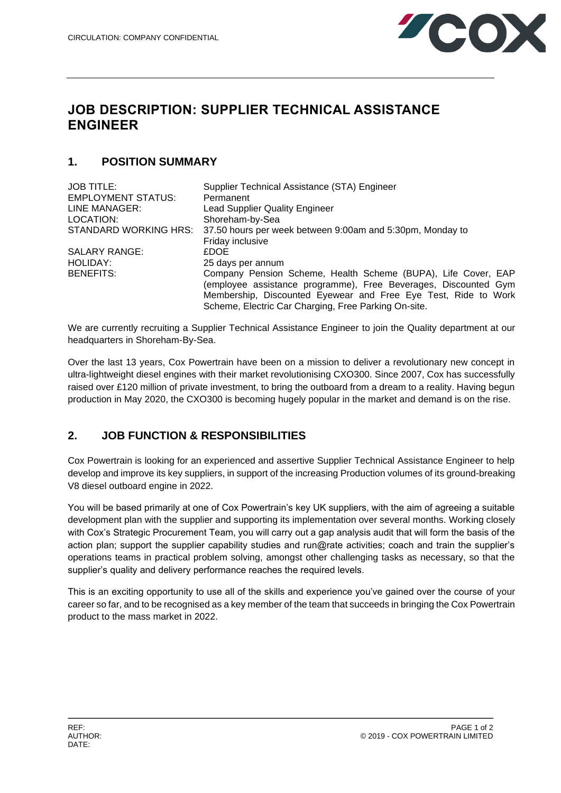

# **JOB DESCRIPTION: SUPPLIER TECHNICAL ASSISTANCE ENGINEER**

#### **1. POSITION SUMMARY**

| <b>JOB TITLE:</b>         | Supplier Technical Assistance (STA) Engineer                    |
|---------------------------|-----------------------------------------------------------------|
| <b>EMPLOYMENT STATUS:</b> | Permanent                                                       |
| LINE MANAGER:             | <b>Lead Supplier Quality Engineer</b>                           |
| LOCATION:                 | Shoreham-by-Sea                                                 |
| STANDARD WORKING HRS:     | 37.50 hours per week between 9:00am and 5:30pm, Monday to       |
|                           | Friday inclusive                                                |
| <b>SALARY RANGE:</b>      | <b>£DOE</b>                                                     |
| HOLIDAY:                  | 25 days per annum                                               |
| <b>BENEFITS:</b>          | Company Pension Scheme, Health Scheme (BUPA), Life Cover, EAP   |
|                           | (employee assistance programme), Free Beverages, Discounted Gym |
|                           | Membership, Discounted Eyewear and Free Eye Test, Ride to Work  |
|                           | Scheme, Electric Car Charging, Free Parking On-site.            |

We are currently recruiting a Supplier Technical Assistance Engineer to join the Quality department at our headquarters in Shoreham-By-Sea.

Over the last 13 years, Cox Powertrain have been on a mission to deliver a revolutionary new concept in ultra-lightweight diesel engines with their market revolutionising CXO300. Since 2007, Cox has successfully raised over £120 million of private investment, to bring the outboard from a dream to a reality. Having begun production in May 2020, the CXO300 is becoming hugely popular in the market and demand is on the rise.

## **2. JOB FUNCTION & RESPONSIBILITIES**

Cox Powertrain is looking for an experienced and assertive Supplier Technical Assistance Engineer to help develop and improve its key suppliers, in support of the increasing Production volumes of its ground-breaking V8 diesel outboard engine in 2022.

You will be based primarily at one of Cox Powertrain's key UK suppliers, with the aim of agreeing a suitable development plan with the supplier and supporting its implementation over several months. Working closely with Cox's Strategic Procurement Team, you will carry out a gap analysis audit that will form the basis of the action plan; support the supplier capability studies and run@rate activities; coach and train the supplier's operations teams in practical problem solving, amongst other challenging tasks as necessary, so that the supplier's quality and delivery performance reaches the required levels.

This is an exciting opportunity to use all of the skills and experience you've gained over the course of your career so far, and to be recognised as a key member of the team that succeeds in bringing the Cox Powertrain product to the mass market in 2022.